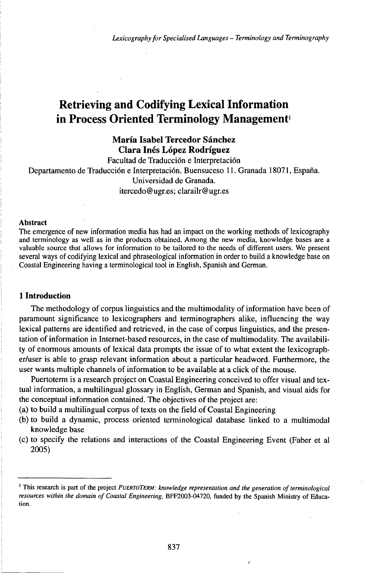# Retrieving and Codifying Lexical Information in Process Oriented Terminology Management<sup>1</sup>

**Maria Isabel Tercedor Sánchez Clara Inés López Rodríguez**

Facultad de Traducción e Interpretación Departamento de Traducción e Interpretación. Buensuceso 11. Granada 18071, España. Universidad de Granada. itercedo@ugr.es; clarailr@ugr.es

## Abstract

The emergence of new information media has had an impact on the working methods of lexicography and terminology as well as in the products obtained. Among the new media, knowledge bases are a valuable source that allows for information to be tailored to the needs of different users. We present several ways of codifying lexical and phraseological information in order to build a knowledge base on Coastal Engineering having a terminological tool in English, Spanish and German.

## **1 Introduction**

The methodology of corpus linguistics and the multimodality of information have been of paramount significance to lexicographers and terminographers alike, influencing the way lexical patterns are identified and retrieved, in the case of corpus linguistics, and the presentation of information in Internet-based resources, in the case of multimodality. The availability of enormous amounts of lexical data prompts the issue of to what extent the lexicographer/user is able to grasp relevant information about a particular headword. Furthermore, the user wants multiple channels of information to be available at a click of the mouse.

Puertoterm is a research project on Coastal Engineering conceived to offer visual and textual information, a multilingual glossary in English, German and Spanish, and visual aids for the conceptual information contained. The objectives of the project are:

- (a) to build a multilingual corpus of texts on the field of Coastal Engineering
- (b) to build a dynamic, process oriented terminological database linked to a multimodal knowledge base
- (c) to specify the relations and interactions of the Coastal Engineering Event (Faber et al 2005)

<sup>1</sup> This research is part of the project *PUERTOTERM: knowledge representation and the generation ofterminological resources within the domain of Coastal Engineering,* BFF2003-04720, funded by the Spanish Ministry of Education.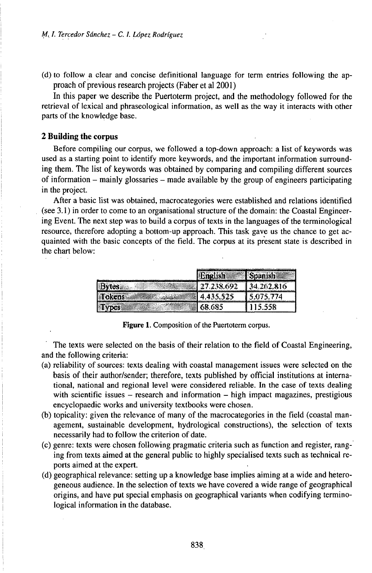(d) to follow a clear and concise definitional language for term entries following the approach of previous research projects (Faber et al 2001)

In this paper we describe the Puertoterm project, and the methodology followed for the retrieval of lexical and phraseological information, as well as the way it interacts with other parts of the knowledge base.

## **2 Building the corpus**

Before compiling our corpus, we followed a top-down approach: a list of keywords was used as a starting point to identify more keywords, and the important information surrounding them. The list of keywords was obtained by comparing and compiling different sources of information - mainly glossaries - made available by the group of engineers participating in the project.

After a basic list was obtained, macrocategories were established and relations identified (see  $3.1$ ) in order to come to an organisational structure of the domain: the Coastal Engineering Event. The next step was to build a corpus of texts in the languages of the terminological resource, therefore adopting a bottom-up approach. This task gave us the chance to get acquainted with the basic concepts of the field. The corpus at its present state is described in the chart below:

|    | <br>ستحصد |   |
|----|-----------|---|
|    |           |   |
| A6 |           | z |
|    | A5.       |   |

Figure 1. Composition of the Puertoterm corpus.

The texts were selected on the basis of their relation to the field of Coastal Engineering, and the following criteria:

- (a) reliability of sources: texts dealing with coastal management issues were selected on the basis of their author/sender; therefore, texts published by official institutions at international, national and regional level were considered reliable. In the case of texts dealing with scientific issues  $-$  research and information  $-$  high impact magazines, prestigious encyclopaedic works and university textbooks were chosen.
- (b) topicality: given the relevance of many of the macrocategories in the field (coastal management, sustainable development, hydrological constructions), the selection of texts necessarily had to follow the criterion of date.
- (c) genre: texts were chosen following pragmatic criteria such as function and register, ranging from texts aimed at the general public to highly specialised texts such as technical reports aimed at the expert.
- (d) geographical relevance: setting up a knowledge base implies aiming at a wide and heterogeneous audience. In the selection of texts we have covered a wide range of geographical origins, and have put special emphasis on geographical variants when codifying terminological information in the database.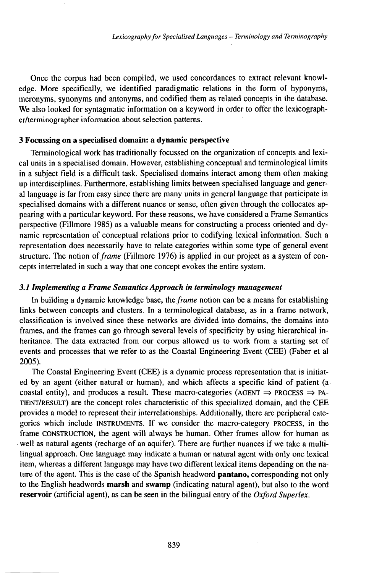Once the corpus had been compiled, we used concordances to extract relevant knowledge. More specifically, we identified paradigmatic relations in the form of hyponyms, meronyms, synonyms and antonyms, and codified them as related concepts in the database. We also looked for syntagmatic information on a keyword in order to offer the lexicographer/terminographer information about selection patterns.

## **3 Focussing on a specialised domain: a dynamic perspective**

Terminological work has traditionally focussed on the organization of concepts and lexical units in a specialised domain. However, establishing conceptual and terminological limits in a subject field is a difficult task. Specialised domains interact among them often making up interdisciplines. Furthermore, establishing limits between specialised language and general language is far from easy since there are many units in general language that participate in specialised domains with a different nuance or sense, often given through the collocates appearing with a particular keyword. For these reasons, we have considered a Frame Semantics perspective (Fillmore 1985) as a valuable means for constructing a process oriented and dynamic representation of conceptual relations prior to codifying lexical information. Such a representation does necessarily have to relate categories within some type of general event structure. The notion *offrame* (Fillmore 1976) is applied in our project as a system of concepts interrelated in such a way that one concept evokes the entire system.

## *3.1 Implementing a Frame Semantics Approach in terminology management*

In building a dynamic knowledge base, *theframe* notion can be a means for establishing links between concepts and clusters. In a terminological database, as in a frame network, classification is involved since these networks are divided into domains, the domains into frames, and the frames can go through several levels of specificity by using hierarchical inheritance. The data extracted from our corpus allowed us to work from a starting set of events and processes that we refer to as the Coastal Engineering Event (CEE) (Faber et al 2005).

The Coastal Engineering Event (CEE) is a dynamic process representation that is initiated by an agent (either natural or human), and which affects a specific kind of patient (a coastal entity), and produces a result. These macro-categories (AGENT  $\Rightarrow$  PROCESS  $\Rightarrow$  PA-TiENT/RESULT) are the concept roles characteristic of this specialized domain, and the CEE provides a model to represent their interrelationships. Additionally, there are peripheral categories which include INSTRUMENTS. If we consider the macro-category PROCESS, in the frame CONSTRUCTION, the agent will always be human. Other frames allow for human as well as natural agents (recharge of an aquifer). There are further nuances if we take a multilingual approach. One language may indicate a human or natural agent with only one lexical item, whereas a different language may have two different lexical items depending on the nature of the agent. This is the case of the Spanish headword **pantano,** corresponding not only to the English headwords **marsh** and **swamp** (indicating natural agent), but also to the word **reservoir** (artificial agent), as can be seen in the bilingual entry of the *Oxford Superlex.*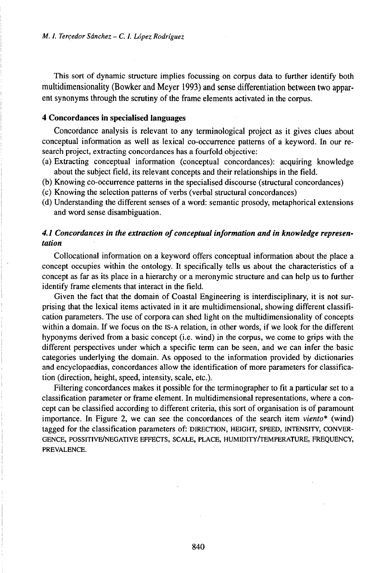This sort of dynamic structure implies focussing on corpus data to further identify both multidimensionality (Bowker and Meyer 1993) and sense differentiation between two apparent synonyms through the scrutiny of the frame elements activated in the corpus.

## **4 Concordances in specialised languages**

Concordance analysis is relevant to any terminological project as it gives clues about conceptual information as well as lexical co-occurrence patterns of a keyword. In our research project, extracting concordances has a fourfold objective:

- (a) Extracting conceptual information (conceptual concordances): acquiring knowledge about the subject field, its relevant concepts and their relationships in the field.
- (b) Knowing co-occurrence patterns in the specialised discourse (structural concordances)
- (c) Knowing the selection patterns of verbs (verbal structural concordances)
- (d) Understanding the different senses of a word: semantic prosody, metaphorical extensions and word sense disambiguation.

# *4.1 Concordances in the extraction ofconceptualinformation and in knowledge representation*

Collocational information on a keyword offers conceptual information about the place a concept occupies within the ontology. It specifically tells us about the characteristics of a concept as far as its place in a hierarchy or a meronymic structure and can help us to further identify frame elements that interact in the field.

Given the fact that the domain of Coastal Engineering is interdisciplinary, it is not surprising that the lexical items activated in it are multidimensional, showing different classification parameters. The use of corpora can shed light on the multidimensionality of concepts within a domain. If we focus on the iS-A relation, in other words, if we look for the different hyponyms derived from a basic concept (i.e. wind) in the corpus, we come to grips with the different perspectives under which a specific term can be seen, and we can infer the basic categories underlying the domain. As opposed to the information provided by dictionaries and encyclopaedias, concordances allow the identification of more parameters for classification (direction, height, speed, intensity, scale, etc.).

Filtering concordances makes it possible for the terminographer to fit a particular set to a classification parameter or frame element. In multidimensional representations, where a concept can be classified according to different criteria, this sort of organisation is of paramount importance. In Figure 2, we can see the concordances of the search item *viento\** (wind) tagged for the classification parameters of: DIRECTION, HEIGHT, SPEED, INTENSITY, CONVER-GENCE, POSSITIVE/NEGATIVE EFFECTS, SCALE, PLACE, HUMIDITY/TEMPERATURE, FREQUENCY, PREVALENCE.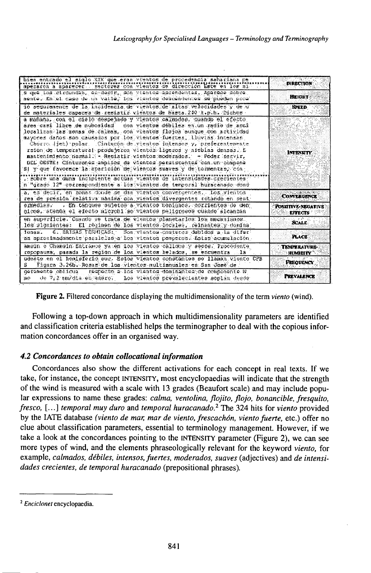| bien entrado el siglo XIX que eran vientos de procedencia sahariana pe-<br>spezaren a aparzoen - ractorez con vientos de dirección Kate en Tor ni                                                                                                                                                                                                                                                                                                                                                                                                                                                                                                                                                                                                                                                                          | <b>DIRECTION:</b>                     |
|----------------------------------------------------------------------------------------------------------------------------------------------------------------------------------------------------------------------------------------------------------------------------------------------------------------------------------------------------------------------------------------------------------------------------------------------------------------------------------------------------------------------------------------------------------------------------------------------------------------------------------------------------------------------------------------------------------------------------------------------------------------------------------------------------------------------------|---------------------------------------|
| s que los circundan, es decir, son vientos asendentes, Aparece sobre<br>neate. En el caso de un valle, los vientos descendentes se pueden proe'                                                                                                                                                                                                                                                                                                                                                                                                                                                                                                                                                                                                                                                                            | HEIGHT                                |
| 10 sequiamente de la incidencia de vientos de altas velocidades y de un<br>de materiales capaces de resistir vientos de hasta.240 k.p.h. Dichos -                                                                                                                                                                                                                                                                                                                                                                                                                                                                                                                                                                                                                                                                          | <b>SPEED</b>                          |
| a mafana. con el mielo despejado y vientos calmados, quembo el efecto,<br>dres casi libre de nubesidad con vientos débiles en un radio de acai<br>localizan laz xonas de calmas, osa vientos flojos aunque con actividad<br>mayones danos son causados por los vientos fuertes. lluvias intensas<br>Chorre listi nolar. Cinturón de vientos intensos y, preferentenente<br>rsión de temperatural produjeron vientos ligeros y nieblas densas. E<br>mantenimiento normali - Resistir vientos moderados. - Poder Szrvir,<br>BEL CESTE: Cinturones amplies de vientes persierentes con un compone<br>'S] y que favorece la aparición de viencos suaves y de pormentas, con<br>, sobre una duna incipiente actuan vientos de intensidades crecientes<br>n "gradó 12" correspondiente a lós vientos de temporal huracanado dond | <b>INTENSITY</b>                      |
| a, es decir, en zonas donde se dan vientos convergentes. Los vientos<br>res de presión relativa maxima pa vientos divergentes rotando en pent                                                                                                                                                                                                                                                                                                                                                                                                                                                                                                                                                                                                                                                                              | <b>CONVERGENCE</b>                    |
| ermedias. En tanques sujetos a vientos benignos, corrientes de sen:<br>gicos, atenda el efecto microbi so vientos peligrosos cuando alcanzan                                                                                                                                                                                                                                                                                                                                                                                                                                                                                                                                                                                                                                                                               | POSSITIVE-NEGATIVE<br><b>EFFECTS</b>  |
| en auperficie. Cuando se trata de vientos planetarios los macanismos.<br>lds signientes: El régimen de los vientos locales, reinantes y domina:                                                                                                                                                                                                                                                                                                                                                                                                                                                                                                                                                                                                                                                                            | <b>SCALE</b>                          |
| 6. BRISAS TERMICAS: Son vientos costeros dabidos a la difer-<br>fonas.<br>as aproximadamente paralelas a los vientos panperos. Estas acumulación,                                                                                                                                                                                                                                                                                                                                                                                                                                                                                                                                                                                                                                                                          | PLACE.                                |
| amsin o Chamsin Entrames ya en los Vlentos callaks y secos. Procedente<br>copopaura, passda la region de los vientos helados, se encuentra .la                                                                                                                                                                                                                                                                                                                                                                                                                                                                                                                                                                                                                                                                             | <b>TEMPERATURE-</b><br><b>HUMBOTY</b> |
| udeate en el henisferio sur Estos vientos constantes se llaman viente CPB<br>Figura 3.26b. Rosaz de los vientos nultianuales en San Jose de .<br>s                                                                                                                                                                                                                                                                                                                                                                                                                                                                                                                                                                                                                                                                         | Preouency                             |
| Eugnecio a los vientos doninantes de componente E<br>geramente oblicua<br>the 7.2 modia en energ. Los vientos prevalecientes soplan desde<br>ио.                                                                                                                                                                                                                                                                                                                                                                                                                                                                                                                                                                                                                                                                           | <b>PREVALENCE</b>                     |

Figure 2. Filtered concordance displaying the multidimensionality of the term viento (wind).

Following a top-down approach in which multidimensionality parameters are identified and classification criteria established helps the terminographer to deal with the copious information concordances offer in an organised way.

## 4.2 Concordances to obtain collocational information

Concordances also show the different activations for each concept in real texts. If we take, for instance, the concept INTENSITY, most encyclopaedias will indicate that the strength of the wind is measured with a scale with 13 grades (Beaufort scale) and may include popular expressions to name these grades: calma, ventolina, flojito, flojo, bonancible, fresquito, fresco, [...] temporal muy duro and temporal huracanado.<sup>2</sup> The 324 hits for viento provided by the IATE database (viento de mar, mar de viento, frescachón, viento fuerte, etc.) offer no clue about classification parameters, essential to terminology management. However, if we take a look at the concordances pointing to the INTENSITY parameter (Figure 2), we can see more types of wind, and the elements phraseologically relevant for the keyword viento, for example, calmados, débiles, intensos, fuertes, moderados, suaves (adjectives) and de intensidades crecientes, de temporal huracanado (prepositional phrases).

<sup>&</sup>lt;sup>2</sup> Enciclonet encyclopaedia.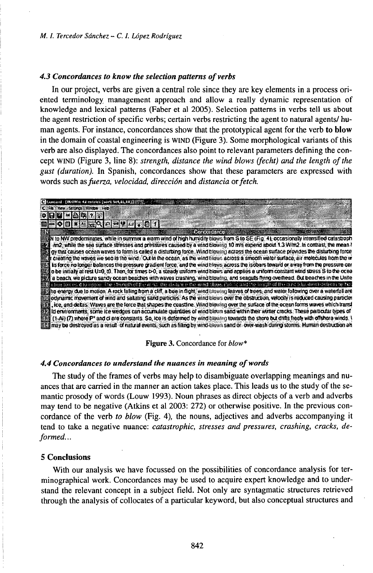## 4.3 Concordances to know the selection patterns of verbs

In our project, verbs are given a central role since they are key elements in a process oriented terminology management approach and allow a really dynamic representation of knowledge and lexical patterns (Faber et al 2005). Selection patterns in verbs tell us about the agent restriction of specific verbs; certain verbs restricting the agent to natural agents/human agents. For instance, concordances show that the prototypical agent for the verb to blow in the domain of coastal engineering is WIND (Figure 3). Some morphological variants of this verb are also displayed. The concordances also point to relevant parameters defining the concept WIND (Figure 3, line 8): strength, distance the wind blows (fecht) and the length of the gust (duration). In Spanish, concordances show that these parameters are expressed with words such as fuerza, velocidad, dirección and distancia or fetch.

| [S Comment (BOWe 41 entries (wirt: Set 11,18) ( ( )                                                                                                                                                                                                                                                                                                                                                                                                                                                                                                                                                                                                                                                                                                                                                                                                                                                                                                                                                                                                                                                                                                                                                                                                                                                                                                                                                                                                                                                                                                                                                                                                                                                                                                                                                                                                                |  |  |
|--------------------------------------------------------------------------------------------------------------------------------------------------------------------------------------------------------------------------------------------------------------------------------------------------------------------------------------------------------------------------------------------------------------------------------------------------------------------------------------------------------------------------------------------------------------------------------------------------------------------------------------------------------------------------------------------------------------------------------------------------------------------------------------------------------------------------------------------------------------------------------------------------------------------------------------------------------------------------------------------------------------------------------------------------------------------------------------------------------------------------------------------------------------------------------------------------------------------------------------------------------------------------------------------------------------------------------------------------------------------------------------------------------------------------------------------------------------------------------------------------------------------------------------------------------------------------------------------------------------------------------------------------------------------------------------------------------------------------------------------------------------------------------------------------------------------------------------------------------------------|--|--|
| C Fit was Sturgs Write Heb                                                                                                                                                                                                                                                                                                                                                                                                                                                                                                                                                                                                                                                                                                                                                                                                                                                                                                                                                                                                                                                                                                                                                                                                                                                                                                                                                                                                                                                                                                                                                                                                                                                                                                                                                                                                                                         |  |  |
| $\circ$ in [2] $\times$ [2] $\circ$                                                                                                                                                                                                                                                                                                                                                                                                                                                                                                                                                                                                                                                                                                                                                                                                                                                                                                                                                                                                                                                                                                                                                                                                                                                                                                                                                                                                                                                                                                                                                                                                                                                                                                                                                                                                                                |  |  |
|                                                                                                                                                                                                                                                                                                                                                                                                                                                                                                                                                                                                                                                                                                                                                                                                                                                                                                                                                                                                                                                                                                                                                                                                                                                                                                                                                                                                                                                                                                                                                                                                                                                                                                                                                                                                                                                                    |  |  |
|                                                                                                                                                                                                                                                                                                                                                                                                                                                                                                                                                                                                                                                                                                                                                                                                                                                                                                                                                                                                                                                                                                                                                                                                                                                                                                                                                                                                                                                                                                                                                                                                                                                                                                                                                                                                                                                                    |  |  |
| inn2, while the sea surface stresses and pressures caused by a wind blowing 10 m/s expend about 1.3 W/m2. In contrast, the mean h<br>終身<br>gy that causes ocean waves to torm is called a disturbing force. Wind blowing across the ocean surface provides the disturbing force<br>creating the waves we see is the wind. Out in the ocean, as the wind blows across a smooth water surface, air molecules from the w<br>its force no longer balances the pressure gradient force, and the wind blows across the isobers toward or away from the pressure cer-<br>o be initially at rest U=0, t0. Then, for times t>0, a steady uniform wind blows and applies a uniform constant wind stress S to the ocea<br>a beach, we picture sandy ocean beaches with waves crashing, wind blowing, and seagulis fiving overhead. But beaches in the Unite<br>(爱国 chon 100005 if 10 upper The strewsh of H e wind the desiring the word blown flatch and the hardfrol H e most bluestness have the most blown on the<br>题组he energy due to mation. A rock falling from a cliff, a boe in fight, wind blowing leaves of boes, and water following over a waterfall are<br>odynamic movement of wind and satating sand particles. As the wind blows over the obstruction, velocity is reduced causing particles<br>tce, and debas. Waves are the force that shapes the coastine. Wind blowing over the surface of the ocean forms waves which transf<br>Id environments, some ice wedges can accumulate quantities of wind blown sand within their winter cracks. These periodiar types of<br>(1-Ai) (7) where P* and ci ere constants. So, ice is deformed by wind blewing towards the shore but drifts freely with offshore winds. \<br>may be destroyed as a result of natural events, such as filling by wind-blown sand or-over-wash during storms. Human destruction alt |  |  |

Figure 3. Concordance for *blow*\*

#### 4.4 Concordances to understand the nuances in meaning of words

The study of the frames of verbs may help to disambiguate overlapping meanings and nuances that are carried in the manner an action takes place. This leads us to the study of the semantic prosody of words (Louw 1993). Noun phrases as direct objects of a verb and adverbs may tend to be negative (Atkins et al 2003: 272) or otherwise positive. In the previous concordance of the verb to blow (Fig. 4), the nouns, adjectives and adverbs accompanying it tend to take a negative nuance: catastrophic, stresses and pressures, crashing, cracks, deformed...

#### **5 Conclusions**

With our analysis we have focussed on the possibilities of concordance analysis for terminographical work. Concordances may be used to acquire expert knowledge and to understand the relevant concept in a subject field. Not only are syntagmatic structures retrieved through the analysis of collocates of a particular keyword, but also conceptual structures and